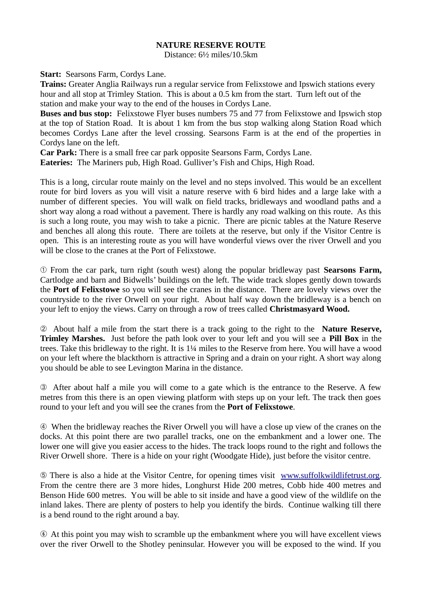## **NATURE RESERVE ROUTE**

Distance: 6½ miles/10.5km

**Start:** Searsons Farm, Cordys Lane.

**Trains:** Greater Anglia Railways run a regular service from Felixstowe and Ipswich stations every hour and all stop at Trimley Station. This is about a 0.5 km from the start. Turn left out of the station and make your way to the end of the houses in Cordys Lane.

**Buses and bus stop:** Felixstowe Flyer buses numbers 75 and 77 from Felixstowe and Ipswich stop at the top of Station Road. It is about 1 km from the bus stop walking along Station Road which becomes Cordys Lane after the level crossing. Searsons Farm is at the end of the properties in Cordys lane on the left.

**Car Park:** There is a small free car park opposite Searsons Farm, Cordys Lane.

**Eateries:** The Mariners pub, High Road. Gulliver's Fish and Chips, High Road.

This is a long, circular route mainly on the level and no steps involved. This would be an excellent route for bird lovers as you will visit a nature reserve with 6 bird hides and a large lake with a number of different species. You will walk on field tracks, bridleways and woodland paths and a short way along a road without a pavement. There is hardly any road walking on this route. As this is such a long route, you may wish to take a picnic. There are picnic tables at the Nature Reserve and benches all along this route. There are toilets at the reserve, but only if the Visitor Centre is open. This is an interesting route as you will have wonderful views over the river Orwell and you will be close to the cranes at the Port of Felixstowe.

➀ From the car park, turn right (south west) along the popular bridleway past **Searsons Farm,** Cartlodge and barn and Bidwells' buildings on the left. The wide track slopes gently down towards the **Port of Felixstowe** so you will see the cranes in the distance. There are lovely views over the countryside to the river Orwell on your right. About half way down the bridleway is a bench on your left to enjoy the views. Carry on through a row of trees called **Christmasyard Wood.** 

➁ About half a mile from the start there is a track going to the right to the **Nature Reserve, Trimley Marshes.** Just before the path look over to your left and you will see a **Pill Box** in the trees. Take this bridleway to the right. It is 1¼ miles to the Reserve from here. You will have a wood on your left where the blackthorn is attractive in Spring and a drain on your right. A short way along you should be able to see Levington Marina in the distance.

➂ After about half a mile you will come to a gate which is the entrance to the Reserve. A few metres from this there is an open viewing platform with steps up on your left. The track then goes round to your left and you will see the cranes from the **Port of Felixstowe**.

➃ When the bridleway reaches the River Orwell you will have a close up view of the cranes on the docks. At this point there are two parallel tracks, one on the embankment and a lower one. The lower one will give you easier access to the hides. The track loops round to the right and follows the River Orwell shore. There is a hide on your right (Woodgate Hide), just before the visitor centre.

➄ There is also a hide at the Visitor Centre, for opening times visit [www.suffolkwildlifetrust.org.](http://www.suffolkwildlifetrust.org/) From the centre there are 3 more hides, Longhurst Hide 200 metres, Cobb hide 400 metres and Benson Hide 600 metres. You will be able to sit inside and have a good view of the wildlife on the inland lakes. There are plenty of posters to help you identify the birds. Continue walking till there is a bend round to the right around a bay.

 $\odot$  At this point you may wish to scramble up the embankment where you will have excellent views over the river Orwell to the Shotley peninsular. However you will be exposed to the wind. If you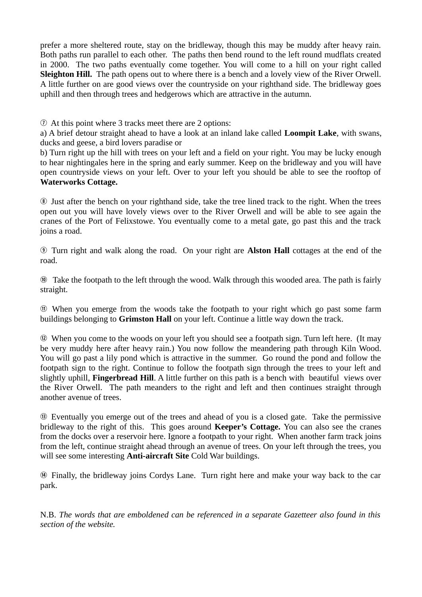prefer a more sheltered route, stay on the bridleway, though this may be muddy after heavy rain. Both paths run parallel to each other. The paths then bend round to the left round mudflats created in 2000. The two paths eventually come together. You will come to a hill on your right called **Sleighton Hill.** The path opens out to where there is a bench and a lovely view of the River Orwell. A little further on are good views over the countryside on your righthand side. The bridleway goes uphill and then through trees and hedgerows which are attractive in the autumn.

 $\Omega$  At this point where 3 tracks meet there are 2 options:

a) A brief detour straight ahead to have a look at an inland lake called **Loompit Lake**, with swans, ducks and geese, a bird lovers paradise or

b) Turn right up the hill with trees on your left and a field on your right. You may be lucky enough to hear nightingales here in the spring and early summer. Keep on the bridleway and you will have open countryside views on your left. Over to your left you should be able to see the rooftop of **Waterworks Cottage.** 

i Just after the bench on your righthand side, take the tree lined track to the right. When the trees open out you will have lovely views over to the River Orwell and will be able to see again the cranes of the Port of Felixstowe. You eventually come to a metal gate, go past this and the track joins a road.

o Turn right and walk along the road. On your right are **Alston Hall** cottages at the end of the road.

<sup>®</sup> Take the footpath to the left through the wood. Walk through this wooded area. The path is fairly straight.

 $<sup>1</sup>$  When you emerge from the woods take the footpath to your right which go past some farm</sup> buildings belonging to **Grimston Hall** on your left. Continue a little way down the track.

d When you come to the woods on your left you should see a footpath sign. Turn left here. (It may be very muddy here after heavy rain.) You now follow the meandering path through Kiln Wood. You will go past a lily pond which is attractive in the summer. Go round the pond and follow the footpath sign to the right. Continue to follow the footpath sign through the trees to your left and slightly uphill, **Fingerbread Hill**. A little further on this path is a bench with beautiful views over the River Orwell. The path meanders to the right and left and then continues straight through another avenue of trees.

 $\circledR$  **Eventually you emerge out of the trees and ahead of you is a closed gate. Take the permissive** bridleway to the right of this. This goes around **Keeper's Cottage.** You can also see the cranes from the docks over a reservoir here. Ignore a footpath to your right. When another farm track joins from the left, continue straight ahead through an avenue of trees. On your left through the trees, you will see some interesting **Anti-aircraft Site** Cold War buildings.

g Finally, the bridleway joins Cordys Lane. Turn right here and make your way back to the car park.

N.B. *The words that are emboldened can be referenced in a separate Gazetteer also found in this section of the website.*